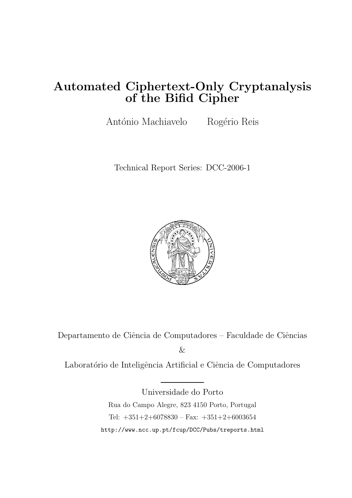# Automated Ciphertext-Only Cryptanalysis of the Bifid Cipher

António Machiavelo Rogério Reis

Technical Report Series: DCC-2006-1



Departamento de Ciência de Computadores – Faculdade de Ciências

&

Laboratório de Inteligência Artificial e Ciência de Computadores

Universidade do Porto Rua do Campo Alegre, 823 4150 Porto, Portugal Tel: +351+2+6078830 – Fax: +351+2+6003654 http://www.ncc.up.pt/fcup/DCC/Pubs/treports.html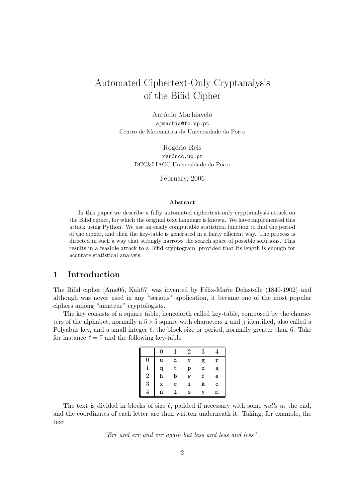# Automated Ciphertext-Only Cryptanalysis of the Bifid Cipher

António Machiavelo ajmachia@fc.up.pt Centro de Matemática da Universidade do Porto

> Rogério Reis rvr@ncc.up.pt DCC&LIACC Universidade do Porto

> > February, 2006

#### Abstract

In this paper we describe a fully automated ciphertext-only cryptanalysis attack on the Bifid cipher, for which the original text language is known. We have implemented this attack using Python. We use an easily computable statistical function to find the period of the cipher, and then the key-table is generated in a fairly efficient way. The process is directed in such a way that strongly narrows the search space of possible solutions. This results in a feasible attack to a Bifid cryptogram, provided that its length is enough for accurate statistical analysis.

# 1 Introduction

The Bifid cipher [Ame05, Kah67] was invented by Félix-Marie Delastelle (1840-1902) and although was never used in any "serious" application, it became one of the most popular ciphers among "amateur" cryptologists.

The key consists of a square table, henceforth called key-table, composed by the characters of the alphabet, normally a  $5 \times 5$  square with characters i and j identified, also called a Polyabus key, and a small integer  $\ell$ , the block size or period, normally greater than 6. Take for instance  $\ell = 7$  and the following key-table

|                |   |   | 2 | 3 |   |
|----------------|---|---|---|---|---|
| 0              | u | d | v | g | r |
| 1              | a | t | р | z | a |
| $\overline{2}$ | h | b | W | f | e |
| 3              | X | C | i | k | о |
|                | n |   | s |   | m |

The text is divided in blocks of size  $\ell$ , padded if necessary with some nulls at the end, and the coordinates of each letter are then written underneath it. Taking, for example, the text

"Err and err and err again but less and less and less" ,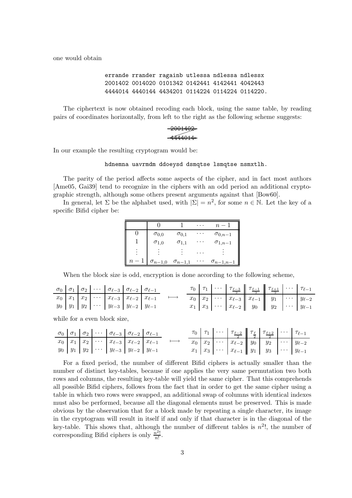one would obtain

errande rrander ragainb utlessa ndlessa ndlessx 2001402 0014020 0101342 0142441 4142441 4042443 4444014 4440144 4434201 0114224 0114224 0114220.

The ciphertext is now obtained recoding each block, using the same table, by reading pairs of coordinates horizontally, from left to the right as the following scheme suggests:

# $-2001402$ 4444014✲

In our example the resulting cryptogram would be:

#### hdnemna uavrmdm ddoeysd dsmqtse lsmqtse nsmxtlh.

The parity of the period affects some aspects of the cipher, and in fact most authors [Ame05, Gai39] tend to recognize in the ciphers with an odd period an additional cryptographic strength, although some others present arguments against that [Bow60].

In general, let  $\Sigma$  be the alphabet used, with  $|\Sigma| = n^2$ , for some  $n \in \mathbb{N}$ . Let the key of a specific Bifid cipher be:

|         |                  |                  | $n -$              |
|---------|------------------|------------------|--------------------|
|         | $\sigma_{0,0}$   | $\sigma_{0,1}$   | $\sigma_{0,n-1}$   |
|         | $\sigma_{1,0}$   | $\sigma_{1,1}$   | $\sigma_{1,n-1}$   |
|         |                  |                  |                    |
| $\it n$ | $\sigma_{n-1,0}$ | $\sigma_{n-1,1}$ | $\sigma_{n-1,n-1}$ |

When the block size is odd, encryption is done according to the following scheme,

|  |  | $\sigma_0$ $\sigma_1$ $\sigma_2$ $\cdots$ $\sigma_{\ell-3}$ $\sigma_{\ell-2}$ $\sigma_{\ell-1}$ |  |  |  | $\tau_0$ $\tau_1$ $\cdots$ $\tau_{\frac{\ell-3}{2}}$ $\tau_{\frac{\ell-1}{2}}$ $\tau_{\frac{\ell+1}{2}}$ $\cdots$ $\tau_{\ell-1}$                                                                          |  |  |
|--|--|-------------------------------------------------------------------------------------------------|--|--|--|------------------------------------------------------------------------------------------------------------------------------------------------------------------------------------------------------------|--|--|
|  |  | $x_0   x_1   x_2   \cdots   x_{\ell-3}   x_{\ell-2}   x_{\ell-1}$                               |  |  |  | $\begin{array}{ c c c c c c c c } \hline x_0 & x_2 & \cdots & x_{\ell-3} & x_{\ell-1} & y_1 & \cdots & y_{\ell-2} \\ \hline x_1 & x_3 & \cdots & x_{\ell-2} & y_0 & y_2 & \cdots & y_{\ell-1} \end{array}$ |  |  |
|  |  | $y_0 \mid y_1 \mid y_2 \mid \cdots \mid y_{\ell-3} \mid y_{\ell-2} \mid y_{\ell-1}$             |  |  |  |                                                                                                                                                                                                            |  |  |

while for a even block size,

|  |  | $\sigma_0$ $\sigma_1$ $\sigma_2$ $\cdots$ $\sigma_{\ell-3}$ $\sigma_{\ell-2}$ $\sigma_{\ell-1}$ |  |  |  | $\tau_0$ $\tau_1$ $\cdots$ $\tau_{\frac{\ell-2}{2}}$ $\tau_{\frac{\ell}{2}}$ $\tau_{\frac{\ell+2}{2}}$ $\cdots$ $\tau_{\ell-1}$ |  |  |
|--|--|-------------------------------------------------------------------------------------------------|--|--|--|---------------------------------------------------------------------------------------------------------------------------------|--|--|
|  |  | $x_0   x_1   x_2   \cdots   x_{\ell-3}   x_{\ell-2}   x_{\ell-1}$                               |  |  |  | $x_0 \mid x_2 \mid \cdots \mid x_{\ell-2} \mid y_0 \mid y_2 \mid \cdots \mid y_{\ell-2}$                                        |  |  |
|  |  | $y_0 \mid y_1 \mid y_2 \mid \cdots \mid y_{\ell-3} \mid y_{\ell-2} \mid y_{\ell-1}$             |  |  |  | $x_1 \mid x_3 \mid \cdots \mid x_{\ell-1} \mid y_1 \mid y_3 \mid \cdots \mid y_{\ell-1}$                                        |  |  |

For a fixed period, the number of different Bifid ciphers is actually smaller than the number of distinct key-tables, because if one applies the very same permutation two both rows and columns, the resulting key-table will yield the same cipher. That this comprehends all possible Bifid ciphers, follows from the fact that in order to get the same cipher using a table in which two rows were swapped, an additional swap of columns with identical indexes must also be performed, because all the diagonal elements must be preserved. This is made obvious by the observation that for a block made by repeating a single character, its image in the cryptogram will result in itself if and only if that character is in the diagonal of the key-table. This shows that, although the number of different tables is  $n^2$ !, the number of corresponding Bifid ciphers is only  $\frac{n^2!}{n!}$  $rac{i^2!}{n!}$ .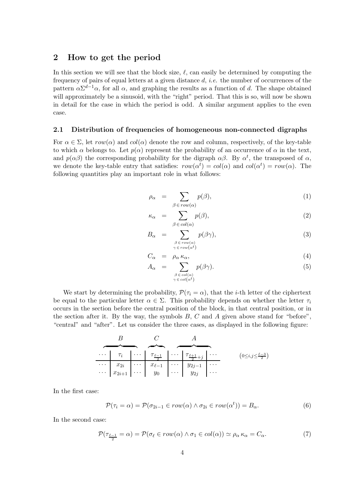## 2 How to get the period

In this section we will see that the block size,  $\ell$ , can easily be determined by computing the frequency of pairs of equal letters at a given distance  $d$ , *i.e.* the number of occurrences of the pattern  $\alpha \Sigma^{d-1} \alpha$ , for all  $\alpha$ , and graphing the results as a function of d. The shape obtained will approximately be a sinusoid, with the "right" period. That this is so, will now be shown in detail for the case in which the period is odd. A similar argument applies to the even case.

### 2.1 Distribution of frequencies of homogeneous non-connected digraphs

For  $\alpha \in \Sigma$ , let  $row(\alpha)$  and  $col(\alpha)$  denote the row and column, respectively, of the key-table to which  $\alpha$  belongs to. Let  $p(\alpha)$  represent the probability of an occurrence of  $\alpha$  in the text, and  $p(\alpha\beta)$  the corresponding probability for the digraph  $\alpha\beta$ . By  $\alpha^t$ , the transposed of  $\alpha$ , we denote the key-table entry that satisfies:  $row(\alpha^t) = col(\alpha)$  and  $col(\alpha^t) = row(\alpha)$ . The following quantities play an important role in what follows:

$$
\rho_{\alpha} = \sum_{\beta \in row(\alpha)} p(\beta), \qquad (1)
$$

$$
\kappa_{\alpha} = \sum_{\beta \in col(\alpha)} p(\beta), \tag{2}
$$

$$
B_{\alpha} = \sum_{\substack{\beta \in row(\alpha) \\ \gamma \in row(\alpha^t)}} p(\beta \gamma), \tag{3}
$$

$$
C_{\alpha} = \rho_{\alpha} \kappa_{\alpha}, \tag{4}
$$

$$
A_{\alpha} = \sum_{\substack{\beta \in col(\alpha) \\ \gamma \in col(\alpha^t)}} p(\beta \gamma). \tag{5}
$$

We start by determining the probability,  $\mathcal{P}(\tau_i = \alpha)$ , that the *i*-th letter of the ciphertext be equal to the particular letter  $\alpha \in \Sigma$ . This probability depends on whether the letter  $\tau_i$ occurs in the section before the central position of the block, in that central position, or in the section after it. By the way, the symbols  $B, C$  and  $A$  given above stand for "before", "central" and "after". Let us consider the three cases, as displayed in the following figure:

|  |  | $\begin{array}{c c c c c c c c c} \cdots & \tau_i & \cdots & \tau_{\frac{\ell-1}{2}} & \cdots & \tau_{\frac{\ell+1}{2}+j} & \cdots \ \hline & x_{2i} & \cdots & x_{\ell-1} & \cdots & y_{2j-1} & \cdots \ \cdots & x_{2i+1} & \cdots & y_0 & \cdots & y_{2j} & \cdots \ \end{array}$ | $(0 \leq i, j \leq \frac{\ell-3}{2})$ |
|--|--|--------------------------------------------------------------------------------------------------------------------------------------------------------------------------------------------------------------------------------------------------------------------------------------|---------------------------------------|
|  |  |                                                                                                                                                                                                                                                                                      |                                       |
|  |  |                                                                                                                                                                                                                                                                                      |                                       |

In the first case:

$$
\mathcal{P}(\tau_i = \alpha) = \mathcal{P}(\sigma_{2i-1} \in row(\alpha) \land \sigma_{2i} \in row(\alpha^t)) = B_\alpha.
$$
\n
$$
(6)
$$

In the second case:

$$
\mathcal{P}(\tau_{\frac{\ell-1}{2}} = \alpha) = \mathcal{P}(\sigma_{\ell} \in row(\alpha) \land \sigma_1 \in col(\alpha)) \simeq \rho_{\alpha} \kappa_{\alpha} = C_{\alpha}.
$$
\n(7)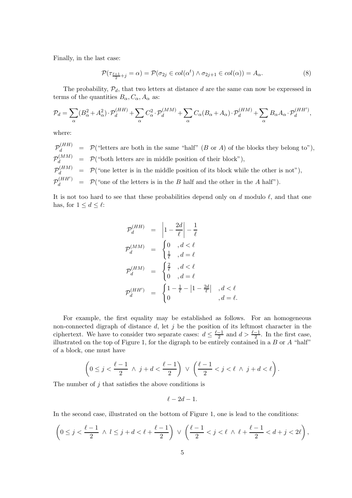Finally, in the last case:

$$
\mathcal{P}(\tau_{\frac{\ell+1}{2}+j}=\alpha)=\mathcal{P}(\sigma_{2j}\in col(\alpha^t)\wedge \sigma_{2j+1}\in col(\alpha))=A_{\alpha}.
$$
\n(8)

The probability,  $P_d$ , that two letters at distance d are the same can now be expressed in terms of the quantities  $B_{\alpha}$ ,  $C_{\alpha}$ ,  $A_{\alpha}$  as:

$$
\mathcal{P}_d = \sum_{\alpha} (B_{\alpha}^2 + A_{\alpha}^2) \cdot \mathcal{P}_d^{(HH)} + \sum_{\alpha} C_{\alpha}^2 \cdot \mathcal{P}_d^{(MM)} + \sum_{\alpha} C_{\alpha} (B_{\alpha} + A_{\alpha}) \cdot \mathcal{P}_d^{(HM)} + \sum_{\alpha} B_{\alpha} A_{\alpha} \cdot \mathcal{P}_d^{(HH')},
$$

where:

 $\mathcal{P}_d^{(HH)} = \mathcal{P}$  ("letters are both in the same "half" (B or A) of the blocks they belong to"),  $\mathcal{P}_d^{(MM)} \;\; = \;\; \mathcal{P}(\text{``both letters are in middle position of their block''}),$  $\mathcal{P}_d^{(HM)} = \mathcal{P}({}^{\omega}$  one letter is in the middle position of its block while the other is not"),  $\mathcal{P}_d^{(HH')}$  =  $\mathcal{P}(\text{``one of the letters is in the } B \text{ half and the other in the } A \text{ half''}).$ 

It is not too hard to see that these probabilities depend only on d modulo  $\ell$ , and that one has, for  $1 \leq d \leq \ell$ :

$$
\mathcal{P}_d^{(HH)} = \left| 1 - \frac{2d}{\ell} \right| - \frac{1}{\ell}
$$
\n
$$
\mathcal{P}_d^{(MM)} = \begin{cases}\n0 & , d < \ell \\
\frac{1}{\ell} & , d = \ell\n\end{cases}
$$
\n
$$
\mathcal{P}_d^{(HM)} = \begin{cases}\n\frac{2}{\ell} & , d < \ell \\
0 & , d = \ell\n\end{cases}
$$
\n
$$
\mathcal{P}_d^{(HH')} = \begin{cases}\n1 - \frac{1}{\ell} - |1 - \frac{2d}{\ell}| & , d < \ell \\
0 & , d = \ell.\n\end{cases}
$$

For example, the first equality may be established as follows. For an homogeneous non-connected digraph of distance  $d$ , let  $j$  be the position of its leftmost character in the ciphertext. We have to consider two separate cases:  $d \leq \frac{\ell-1}{2}$  $\frac{-1}{2}$  and  $d > \frac{\ell-1}{2}$ . In the first case, illustrated on the top of Figure 1, for the digraph to be entirely contained in a  $B$  or  $A$  "half" of a block, one must have

$$
\left(0\leq j<\frac{\ell-1}{2}\;\wedge\;j+d<\frac{\ell-1}{2}\right)\;\vee\;\left(\frac{\ell-1}{2}
$$

The number of  $j$  that satisfies the above conditions is

$$
\ell-2d-1.
$$

In the second case, illustrated on the bottom of Figure 1, one is lead to the conditions:

$$
\left(0\leq j<\frac{\ell-1}{2}\ \wedge\ l\leq j+d<\ell+\frac{\ell-1}{2}\right)\ \vee\ \left(\frac{\ell-1}{2}
$$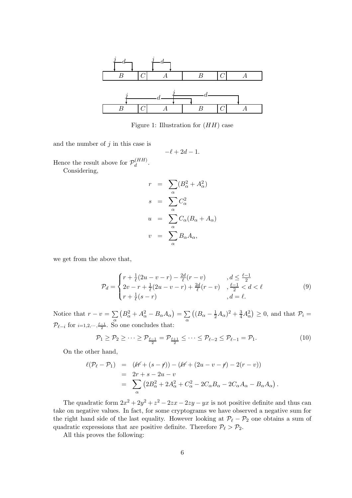

Figure 1: Illustration for  $(HH)$  case

and the number of  $j$  in this case is

$$
-\ell + 2d - 1.
$$

Hence the result above for  $\mathcal{P}_d^{(HH)}$  $d^{(HH)}$ .

Considering,

$$
r = \sum_{\alpha} (B_{\alpha}^{2} + A_{\alpha}^{2})
$$

$$
s = \sum_{\alpha} C_{\alpha}^{2}
$$

$$
u = \sum_{\alpha} C_{\alpha} (B_{\alpha} + A_{\alpha})
$$

$$
v = \sum_{\alpha} B_{\alpha} A_{\alpha},
$$

we get from the above that,

$$
\mathcal{P}_d = \begin{cases} r + \frac{1}{\ell}(2u - v - r) - \frac{2d}{\ell}(r - v) & , d \le \frac{\ell - 1}{2} \\ 2v - r + \frac{1}{\ell}(2u - v - r) + \frac{2d}{\ell}(r - v) & , \frac{\ell - 1}{2} < d < \ell \\ r + \frac{1}{\ell}(s - r) & , d = \ell. \end{cases}
$$
(9)

Notice that  $r - v = \sum$ α  $(B_{\alpha}^2 + A_{\alpha}^2 - B_{\alpha}A_{\alpha}) = \sum$ α  $((B_{\alpha} - \frac{1}{2}A_{\alpha})^2 + \frac{3}{4}A_{\alpha}^2) \ge 0$ , and that  $\mathcal{P}_i =$  $\mathcal{P}_{\ell-i}$  for  $i=1,2,\dots,\frac{\ell-1}{2}$ . So one concludes that:

$$
\mathcal{P}_1 \ge \mathcal{P}_2 \ge \dots \ge \mathcal{P}_{\frac{\ell-1}{2}} = \mathcal{P}_{\frac{\ell+1}{2}} \le \dots \le \mathcal{P}_{\ell-2} \le \mathcal{P}_{\ell-1} = \mathcal{P}_1. \tag{10}
$$

On the other hand,

$$
\ell(\mathcal{P}_{\ell} - \mathcal{P}_{1}) = (\ell f + (s - f)) - (\ell f + (2u - v - f) - 2(r - v))
$$
  
= 2r + s - 2u - v  
= 
$$
\sum_{\alpha} (2B_{\alpha}^{2} + 2A_{\alpha}^{2} + C_{\alpha}^{2} - 2C_{\alpha}B_{\alpha} - 2C_{\alpha}A_{\alpha} - B_{\alpha}A_{\alpha}).
$$

The quadratic form  $2x^2 + 2y^2 + z^2 - 2zx - 2zy - yx$  is not positive definite and thus can take on negative values. In fact, for some cryptograms we have observed a negative sum for the right hand side of the last equality. However looking at  $\mathcal{P}_{\ell} - \mathcal{P}_{2}$  one obtains a sum of quadratic expressions that are positive definite. Therefore  $P_{\ell} > P_2$ .

All this proves the following: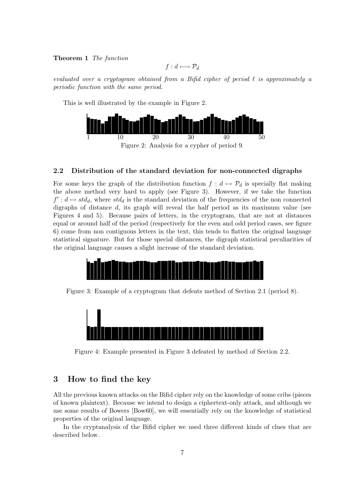### Theorem 1 The function

$$
f: d \longmapsto \mathcal{P}_d
$$

evaluated over a cryptogram obtained from a Bifid cipher of period  $\ell$  is approximately a periodic function with the same period.

This is well illustrated by the example in Figure 2.



Figure 2: Analysis for a cypher of period 9.

#### 2.2 Distribution of the standard deviation for non-connected digraphs

For some keys the graph of the distribution function  $f : d \mapsto \mathcal{P}_d$  is specially flat making the above method very hard to apply (see Figure 3). However, if we take the function  $f' : d \mapsto std_d$ , where  $std_d$  is the standard deviation of the frequencies of the non connected digraphs of distance  $d$ , its graph will reveal the half period as its maximum value (see Figures 4 and 5). Because pairs of letters, in the cryptogram, that are not at distances equal or around half of the period (respectively for the even and odd period cases, see figure 6) come from non contiguous letters in the text, this tends to flatten the original language statistical signature. But for those special distances, the digraph statistical peculiarities of the original language causes a slight increase of the standard deviation.



Figure 3: Example of a cryptogram that defeats method of Section 2.1 (period 8).



Figure 4: Example presented in Figure 3 defeated by method of Section 2.2.

## 3 How to find the key

All the previous known attacks on the Bifid cipher rely on the knowledge of some cribs (pieces of known plaintext). Because we intend to design a ciphertext-only attack, and although we use some results of Bowers [Bow60], we will essentially rely on the knowledge of statistical properties of the original language.

In the cryptanalysis of the Bifid cipher we used three different kinds of clues that are described below.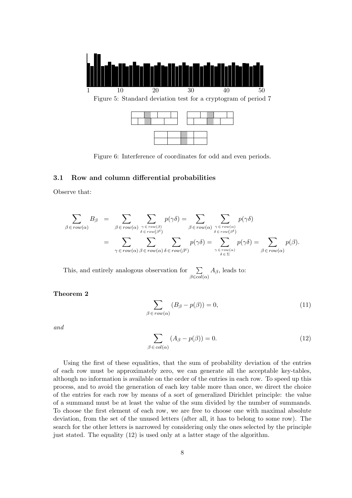

Figure 5: Standard deviation test for a cryptogram of period 7



Figure 6: Interference of coordinates for odd and even periods.

## 3.1 Row and column differential probabilities

Observe that:

$$
\sum_{\beta \in row(\alpha)} B_{\beta} = \sum_{\beta \in row(\alpha)} \sum_{\substack{\gamma \in row(\beta) \\ \delta \in row(\beta^t)}} p(\gamma \delta) = \sum_{\beta \in row(\alpha)} \sum_{\substack{\gamma \in row(\alpha) \\ \delta \in row(\beta^t)}} p(\gamma \delta)
$$
\n
$$
= \sum_{\gamma \in row(\alpha)} \sum_{\beta \in row(\alpha)} \sum_{\delta \in row(\beta^t)} p(\gamma \delta) = \sum_{\substack{\gamma \in row(\alpha) \\ \delta \in \Sigma}} p(\gamma \delta) = \sum_{\beta \in row(\alpha)} p(\beta).
$$

This, and entirely analogous observation for  $\sum$  $\beta \in col(\alpha)$  $A_{\beta}$ , leads to:

Theorem 2

$$
\sum_{\beta \in row(\alpha)} (B_{\beta} - p(\beta)) = 0,
$$
\n(11)

and

$$
\sum_{\beta \in col(\alpha)} (A_{\beta} - p(\beta)) = 0.
$$
\n(12)

Using the first of these equalities, that the sum of probability deviation of the entries of each row must be approximately zero, we can generate all the acceptable key-tables, although no information is available on the order of the entries in each row. To speed up this process, and to avoid the generation of each key table more than once, we direct the choice of the entries for each row by means of a sort of generalized Dirichlet principle: the value of a summand must be at least the value of the sum divided by the number of summands. To choose the first element of each row, we are free to choose one with maximal absolute deviation, from the set of the unused letters (after all, it has to belong to some row). The search for the other letters is narrowed by considering only the ones selected by the principle just stated. The equality (12) is used only at a latter stage of the algorithm.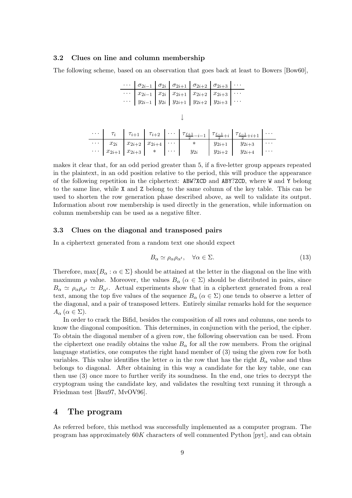#### 3.2 Clues on line and column membership

The following scheme, based on an observation that goes back at least to Bowers [Bow60],

|                                                                                                                                                                                                                                                                                                                                                                                  |  |  |  |  |  |  |  | $\cdots \mid \sigma_{2i-1} \mid \sigma_{2i} \mid \sigma_{2i+1} \mid \sigma_{2i+2} \mid \sigma_{2i+3} \mid \cdots$                                                                                                                                                                                                                                                                   |  |  |  |  |
|----------------------------------------------------------------------------------------------------------------------------------------------------------------------------------------------------------------------------------------------------------------------------------------------------------------------------------------------------------------------------------|--|--|--|--|--|--|--|-------------------------------------------------------------------------------------------------------------------------------------------------------------------------------------------------------------------------------------------------------------------------------------------------------------------------------------------------------------------------------------|--|--|--|--|
|                                                                                                                                                                                                                                                                                                                                                                                  |  |  |  |  |  |  |  | $\overline{\cdots}\,\, \overline{\begin{array}{c} x_{2i-1} \\ y_{2i-1} \end{array}\,\,} \overline{\begin{array}{c} x_{2i} \\ y_{2i} \end{array}\,\,} \,\, \overline{\begin{array}{c} x_{2i+1} \\ y_{2i+1} \end{array}\,\,} \,\, \overline{\begin{array}{c} x_{2i+2} \\ y_{2i+2} \end{array}\,\,} \,\, \overline{\begin{array}{c} x_{2i+3} \\ y_{2i+3} \end{array}\,\,} \,\, \cdots$ |  |  |  |  |
|                                                                                                                                                                                                                                                                                                                                                                                  |  |  |  |  |  |  |  |                                                                                                                                                                                                                                                                                                                                                                                     |  |  |  |  |
|                                                                                                                                                                                                                                                                                                                                                                                  |  |  |  |  |  |  |  |                                                                                                                                                                                                                                                                                                                                                                                     |  |  |  |  |
|                                                                                                                                                                                                                                                                                                                                                                                  |  |  |  |  |  |  |  |                                                                                                                                                                                                                                                                                                                                                                                     |  |  |  |  |
| $\begin{array}{c c c c c c c c c c c c} \cdots & \tau_i & \tau_{i+1} & \tau_{i+2} & \cdots & \tau_{\frac{\ell+1}{2}-i-1} & \tau_{\frac{\ell-1}{2}+i} & \tau_{\frac{\ell-1}{2}+i+1} & \cdots \ \cdots & x_{2i} & x_{2i+2} & x_{2i+4} & \cdots & * & y_{2i+1} & y_{2i+3} & \cdots \ \cdots & x_{2i+1} & x_{2i+3} & * & \cdots & y_{2i} & y_{2i+2} & y_{2i+4} & \cdots \end{array}$ |  |  |  |  |  |  |  |                                                                                                                                                                                                                                                                                                                                                                                     |  |  |  |  |
|                                                                                                                                                                                                                                                                                                                                                                                  |  |  |  |  |  |  |  |                                                                                                                                                                                                                                                                                                                                                                                     |  |  |  |  |
|                                                                                                                                                                                                                                                                                                                                                                                  |  |  |  |  |  |  |  |                                                                                                                                                                                                                                                                                                                                                                                     |  |  |  |  |
|                                                                                                                                                                                                                                                                                                                                                                                  |  |  |  |  |  |  |  |                                                                                                                                                                                                                                                                                                                                                                                     |  |  |  |  |

makes it clear that, for an odd period greater than 5, if a five-letter group appears repeated in the plaintext, in an odd position relative to the period, this will produce the appearance of the following repetition in the ciphertext: ABW?XCD and ABY?ZCD, where W and Y belong to the same line, while X and Z belong to the same column of the key table. This can be used to shorten the row generation phase described above, as well to validate its output. Information about row membership is used directly in the generation, while information on column membership can be used as a negative filter.

## 3.3 Clues on the diagonal and transposed pairs

In a ciphertext generated from a random text one should expect

$$
B_{\alpha} \simeq \rho_{\alpha}\rho_{\alpha^t}, \quad \forall \alpha \in \Sigma.
$$
 (13)

Therefore,  $\max\{B_\alpha : \alpha \in \Sigma\}$  should be attained at the letter in the diagonal on the line with maximum  $\rho$  value. Moreover, the values  $B_{\alpha}$  ( $\alpha \in \Sigma$ ) should be distributed in pairs, since  $B_{\alpha} \simeq \rho_{\alpha} \rho_{\alpha} \iota \simeq B_{\alpha} \iota$ . Actual experiments show that in a ciphertext generated from a real text, among the top five values of the sequence  $B_{\alpha}$  ( $\alpha \in \Sigma$ ) one tends to observe a letter of the diagonal, and a pair of transposed letters. Entirely similar remarks hold for the sequence  $A_{\alpha}$   $(\alpha \in \Sigma).$ 

In order to crack the Bifid, besides the composition of all rows and columns, one needs to know the diagonal composition. This determines, in conjunction with the period, the cipher. To obtain the diagonal member of a given row, the following observation can be used. From the ciphertext one readily obtains the value  $B_{\alpha}$  for all the row members. From the original language statistics, one computes the right hand member of (3) using the given row for both variables. This value identifies the letter  $\alpha$  in the row that has the right  $B_{\alpha}$  value and thus belongs to diagonal. After obtaining in this way a candidate for the key table, one can then use (3) once more to further verify its soundness. In the end, one tries to decrypt the cryptogram using the candidate key, and validates the resulting text running it through a Friedman test [Bau97, MvOV96].

## 4 The program

As referred before, this method was successfully implemented as a computer program. The program has approximately 60K characters of well commented Python [pyt], and can obtain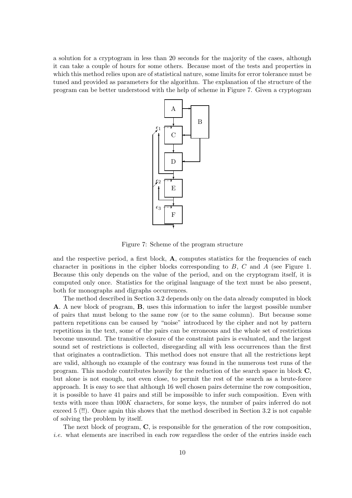a solution for a cryptogram in less than 20 seconds for the majority of the cases, although it can take a couple of hours for some others. Because most of the tests and properties in which this method relies upon are of statistical nature, some limits for error tolerance must be tuned and provided as parameters for the algorithm. The explanation of the structure of the program can be better understood with the help of scheme in Figure 7. Given a cryptogram



Figure 7: Scheme of the program structure

and the respective period, a first block,  $A$ , computes statistics for the frequencies of each character in positions in the cipher blocks corresponding to  $B$ ,  $C$  and  $A$  (see Figure 1. Because this only depends on the value of the period, and on the cryptogram itself, it is computed only once. Statistics for the original language of the text must be also present, both for monographs and digraphs occurrences.

The method described in Section 3.2 depends only on the data already computed in block A. A new block of program, B, uses this information to infer the largest possible number of pairs that must belong to the same row (or to the same column). But because some pattern repetitions can be caused by "noise" introduced by the cipher and not by pattern repetitions in the text, some of the pairs can be erroneous and the whole set of restrictions become unsound. The transitive closure of the constraint pairs is evaluated, and the largest sound set of restrictions is collected, disregarding all with less occurrences than the first that originates a contradiction. This method does not ensure that all the restrictions kept are valid, although no example of the contrary was found in the numerous test runs of the program. This module contributes heavily for the reduction of the search space in block C, but alone is not enough, not even close, to permit the rest of the search as a brute-force approach. It is easy to see that although 16 well chosen pairs determine the row composition, it is possible to have 41 pairs and still be impossible to infer such composition. Even with texts with more than 100K characters, for some keys, the number of pairs inferred do not exceed 5 (!!). Once again this shows that the method described in Section 3.2 is not capable of solving the problem by itself.

The next block of program, C, is responsible for the generation of the row composition, i.e. what elements are inscribed in each row regardless the order of the entries inside each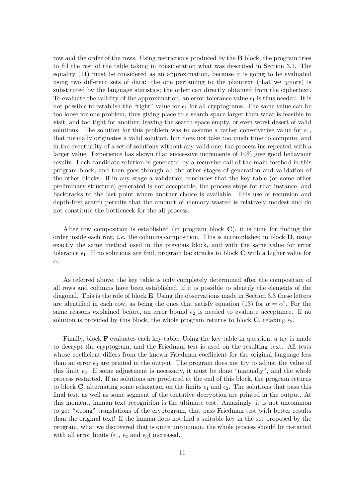row and the order of the rows. Using restrictions produced by the **B** block, the program tries to fill the rest of the table taking in consideration what was described in Section 3.1. The equality (11) must be considered as an approximation, because it is going to be evaluated using two different sets of data: the one pertaining to the plaintext (that we ignore) is substituted by the language statistics; the other can directly obtained from the ciphertext. To evaluate the validity of the approximation, an error tolerance value  $\epsilon_1$  is thus needed. It is not possible to establish the "right" value for  $\epsilon_1$  for all cryptograms. The same value can be too loose for one problem, thus giving place to a search space larger than what is feasible to visit, and too tight for another, leaving the search space empty, or even worst desert of valid solutions. The solution for this problem was to assume a rather conservative value for  $\epsilon_1$ , that normally originates a valid solution, but does not take too much time to compute, and in the eventuality of a set of solutions without any valid one, the process ins repeated with a larger value. Experience has shown that successive increments of 10% give good behaviour results. Each candidate solution is generated by a recursive call of the main method in this program block, and then goes through all the other stages of generation and validation of the other blocks. If in any stage a validation concludes that the key table (or some other preliminary structure) generated is not acceptable, the process stops for that instance, and backtracks to the last point where another choice is available. This use of recursion and depth-first search permits that the amount of memory wasted is relatively modest and do not constitute the bottleneck for the all process.

After row composition is established (in program block  $C$ ), it is time for finding the order inside each row, *i.e.* the columns composition. This is accomplished in block  $\mathbf{D}$ , using exactly the same method used in the previous block, and with the same value for error tolerance  $\epsilon_1$ . If no solutions are find, program backtracks to block **C** with a higher value for  $\epsilon_1$ .

As referred above, the key table is only completely determined after the composition of all rows and columns have been established, if it is possible to identify the elements of the diagonal. This is the role of block E. Using the observations made in Section 3.3 these letters are identified in each row, as being the ones that satisfy equation (13) for  $\alpha = \alpha^t$ . For the same reasons explained before, an error bound  $\epsilon_2$  is needed to evaluate acceptance. If no solution is provided by this block, the whole program returns to block  $C$ , relaxing  $\epsilon_2$ .

Finally, block F evaluates each key-table. Using the key table in question, a try is made to decrypt the cryptogram, and the Friedman test is used on the resulting text. All tests whose coefficient differs from the known Friedman coefficient for the original language less than an error  $\epsilon_3$  are printed in the output. The program does not try to adjust the value of this limit  $\epsilon_3$ . If some adjustment is necessary, it must be done "manually", and the whole process restarted. If no solutions are produced at the end of this block, the program returns to block C, alternating some relaxation on the limits  $\epsilon_1$  and  $\epsilon_2$ . The solutions that pass this final test, as well as some segment of the tentative decryption are printed in the output. At this moment, human text recognition is the ultimate test. Amazingly, it is not uncommon to get "wrong" translations of the cryptogram, that pass Friedman test with better results than the original text! If the human does not find a suitable key in the set proposed by the program, what we discovered that is quite uncommon, the whole process should be restarted with all error limits ( $\epsilon_1$ ,  $\epsilon_2$  and  $\epsilon_3$ ) increased.